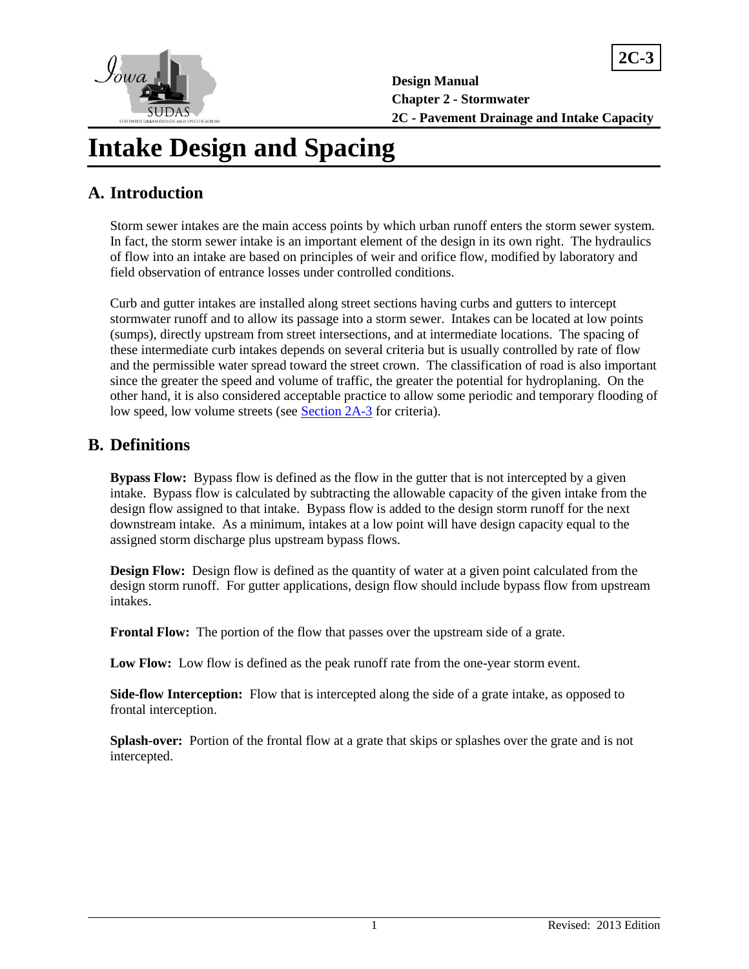

**Design Manual Chapter 2 - Stormwater 2C - Pavement Drainage and Intake Capacity**

**2C-3**

# **Intake Design and Spacing**

## **A. Introduction**

Storm sewer intakes are the main access points by which urban runoff enters the storm sewer system. In fact, the storm sewer intake is an important element of the design in its own right. The hydraulics of flow into an intake are based on principles of weir and orifice flow, modified by laboratory and field observation of entrance losses under controlled conditions.

Curb and gutter intakes are installed along street sections having curbs and gutters to intercept stormwater runoff and to allow its passage into a storm sewer. Intakes can be located at low points (sumps), directly upstream from street intersections, and at intermediate locations. The spacing of these intermediate curb intakes depends on several criteria but is usually controlled by rate of flow and the permissible water spread toward the street crown. The classification of road is also important since the greater the speed and volume of traffic, the greater the potential for hydroplaning. On the other hand, it is also considered acceptable practice to allow some periodic and temporary flooding of low speed, low volume streets (see [Section 2A-3](https://intrans.iastate.edu/app/uploads/sites/15/2020/03/2A-3.pdf) for criteria).

## **B. Definitions**

**Bypass Flow:** Bypass flow is defined as the flow in the gutter that is not intercepted by a given intake. Bypass flow is calculated by subtracting the allowable capacity of the given intake from the design flow assigned to that intake. Bypass flow is added to the design storm runoff for the next downstream intake. As a minimum, intakes at a low point will have design capacity equal to the assigned storm discharge plus upstream bypass flows.

**Design Flow:** Design flow is defined as the quantity of water at a given point calculated from the design storm runoff. For gutter applications, design flow should include bypass flow from upstream intakes.

**Frontal Flow:** The portion of the flow that passes over the upstream side of a grate.

**Low Flow:** Low flow is defined as the peak runoff rate from the one-year storm event.

**Side-flow Interception:** Flow that is intercepted along the side of a grate intake, as opposed to frontal interception.

**Splash-over:** Portion of the frontal flow at a grate that skips or splashes over the grate and is not intercepted.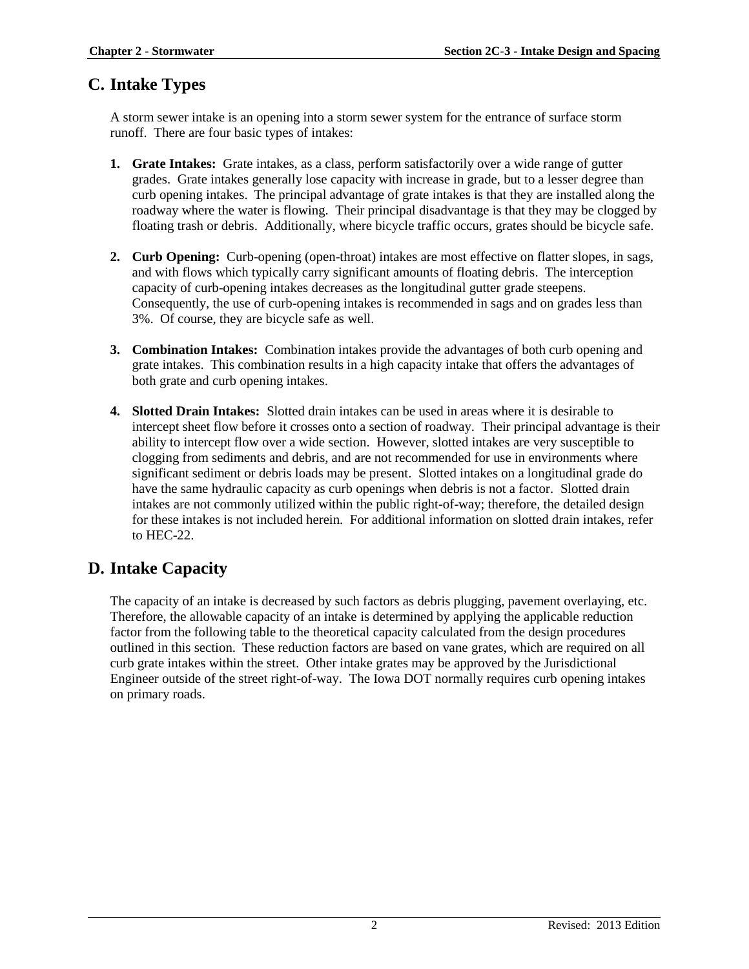## **C. Intake Types**

A storm sewer intake is an opening into a storm sewer system for the entrance of surface storm runoff. There are four basic types of intakes:

- **1. Grate Intakes:** Grate intakes, as a class, perform satisfactorily over a wide range of gutter grades. Grate intakes generally lose capacity with increase in grade, but to a lesser degree than curb opening intakes. The principal advantage of grate intakes is that they are installed along the roadway where the water is flowing. Their principal disadvantage is that they may be clogged by floating trash or debris. Additionally, where bicycle traffic occurs, grates should be bicycle safe.
- **2. Curb Opening:** Curb-opening (open-throat) intakes are most effective on flatter slopes, in sags, and with flows which typically carry significant amounts of floating debris. The interception capacity of curb-opening intakes decreases as the longitudinal gutter grade steepens. Consequently, the use of curb-opening intakes is recommended in sags and on grades less than 3%. Of course, they are bicycle safe as well.
- **3. Combination Intakes:** Combination intakes provide the advantages of both curb opening and grate intakes. This combination results in a high capacity intake that offers the advantages of both grate and curb opening intakes.
- **4. Slotted Drain Intakes:** Slotted drain intakes can be used in areas where it is desirable to intercept sheet flow before it crosses onto a section of roadway. Their principal advantage is their ability to intercept flow over a wide section. However, slotted intakes are very susceptible to clogging from sediments and debris, and are not recommended for use in environments where significant sediment or debris loads may be present. Slotted intakes on a longitudinal grade do have the same hydraulic capacity as curb openings when debris is not a factor. Slotted drain intakes are not commonly utilized within the public right-of-way; therefore, the detailed design for these intakes is not included herein. For additional information on slotted drain intakes, refer to HEC-22.

## **D. Intake Capacity**

The capacity of an intake is decreased by such factors as debris plugging, pavement overlaying, etc. Therefore, the allowable capacity of an intake is determined by applying the applicable reduction factor from the following table to the theoretical capacity calculated from the design procedures outlined in this section. These reduction factors are based on vane grates, which are required on all curb grate intakes within the street. Other intake grates may be approved by the Jurisdictional Engineer outside of the street right-of-way. The Iowa DOT normally requires curb opening intakes on primary roads.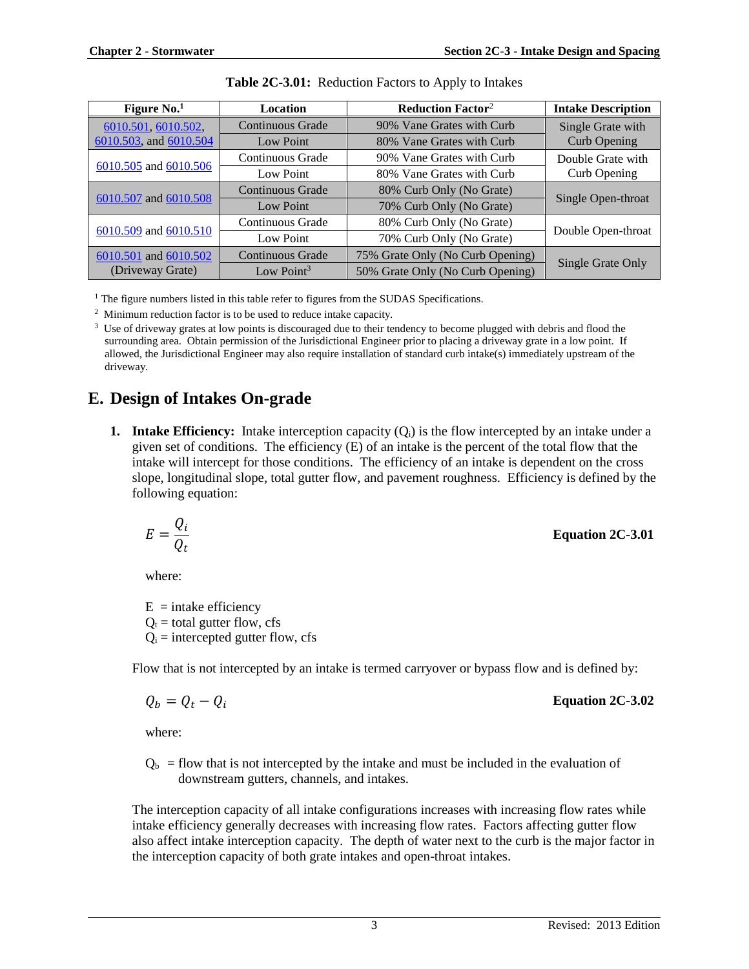| Figure $No.1$          | Location               | <b>Reduction Factor<sup>2</sup></b>            | <b>Intake Description</b> |  |
|------------------------|------------------------|------------------------------------------------|---------------------------|--|
| 6010.501, 6010.502,    | Continuous Grade       | 90% Vane Grates with Curb                      | Single Grate with         |  |
| 6010.503, and 6010.504 | Low Point              | 80% Vane Grates with Curb                      | Curb Opening              |  |
|                        | Continuous Grade       | 90% Vane Grates with Curb                      | Double Grate with         |  |
| 6010.505 and 6010.506  | Low Point              | 80% Vane Grates with Curb                      | Curb Opening              |  |
| 6010.507 and 6010.508  | Continuous Grade       | 80% Curb Only (No Grate)                       |                           |  |
|                        | <b>Low Point</b>       | 70% Curb Only (No Grate)                       | Single Open-throat        |  |
|                        | Continuous Grade       | 80% Curb Only (No Grate)                       |                           |  |
| 6010.509 and 6010.510  | Low Point              | Double Open-throat<br>70% Curb Only (No Grate) |                           |  |
| 6010.501 and 6010.502  | Continuous Grade       | 75% Grate Only (No Curb Opening)               |                           |  |
| (Driveway Grate)       | Low Point <sup>3</sup> | 50% Grate Only (No Curb Opening)               | Single Grate Only         |  |

<sup>1</sup> The figure numbers listed in this table refer to figures from the SUDAS Specifications.

<sup>2</sup> Minimum reduction factor is to be used to reduce intake capacity.

<sup>3</sup> Use of driveway grates at low points is discouraged due to their tendency to become plugged with debris and flood the surrounding area. Obtain permission of the Jurisdictional Engineer prior to placing a driveway grate in a low point. If allowed, the Jurisdictional Engineer may also require installation of standard curb intake(s) immediately upstream of the driveway.

## **E. Design of Intakes On-grade**

**1. Intake Efficiency:** Intake interception capacity  $(Q_i)$  is the flow intercepted by an intake under a given set of conditions. The efficiency (E) of an intake is the percent of the total flow that the intake will intercept for those conditions. The efficiency of an intake is dependent on the cross slope, longitudinal slope, total gutter flow, and pavement roughness. Efficiency is defined by the following equation:

$$
E = \frac{Q_i}{Q_t}
$$
 Equation 2C-3.01

where:

 $E =$ intake efficiency  $Q_t$  = total gutter flow, cfs  $Q<sub>i</sub>$  = intercepted gutter flow, cfs

Flow that is not intercepted by an intake is termed carryover or bypass flow and is defined by:

$$
Q_b = Q_t - Q_i
$$

= − **Equation 2C-3.02**

where:

 $Q<sub>b</sub>$  = flow that is not intercepted by the intake and must be included in the evaluation of downstream gutters, channels, and intakes.

The interception capacity of all intake configurations increases with increasing flow rates while intake efficiency generally decreases with increasing flow rates. Factors affecting gutter flow also affect intake interception capacity. The depth of water next to the curb is the major factor in the interception capacity of both grate intakes and open-throat intakes.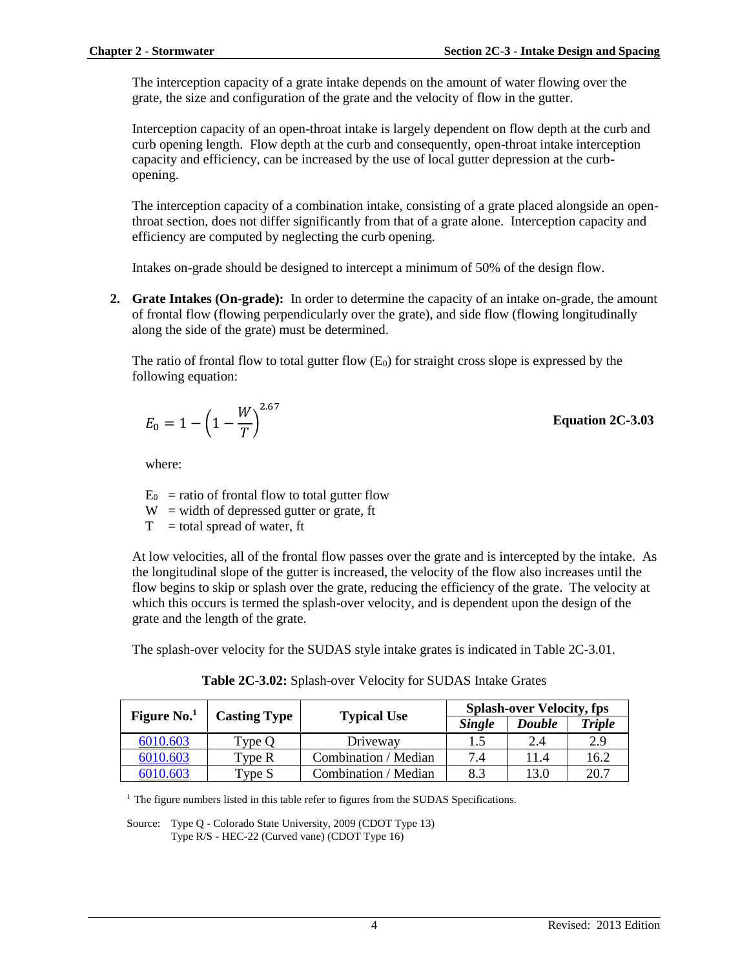The interception capacity of a grate intake depends on the amount of water flowing over the grate, the size and configuration of the grate and the velocity of flow in the gutter.

Interception capacity of an open-throat intake is largely dependent on flow depth at the curb and curb opening length. Flow depth at the curb and consequently, open-throat intake interception capacity and efficiency, can be increased by the use of local gutter depression at the curbopening.

The interception capacity of a combination intake, consisting of a grate placed alongside an openthroat section, does not differ significantly from that of a grate alone. Interception capacity and efficiency are computed by neglecting the curb opening.

Intakes on-grade should be designed to intercept a minimum of 50% of the design flow.

**2. Grate Intakes (On-grade):** In order to determine the capacity of an intake on-grade, the amount of frontal flow (flowing perpendicularly over the grate), and side flow (flowing longitudinally along the side of the grate) must be determined.

The ratio of frontal flow to total gutter flow  $(E_0)$  for straight cross slope is expressed by the following equation:

$$
E_0 = 1 - \left(1 - \frac{W}{T}\right)^{2.67}
$$

**Equation 2C-3.03**

where:

 $E_0$  = ratio of frontal flow to total gutter flow

 $W =$  width of depressed gutter or grate, ft

 $T =$  total spread of water, ft

At low velocities, all of the frontal flow passes over the grate and is intercepted by the intake. As the longitudinal slope of the gutter is increased, the velocity of the flow also increases until the flow begins to skip or splash over the grate, reducing the efficiency of the grate. The velocity at which this occurs is termed the splash-over velocity, and is dependent upon the design of the grate and the length of the grate.

The splash-over velocity for the SUDAS style intake grates is indicated in Table 2C-3.01.

| Figure $No.1$ |                     |                      |               | <b>Splash-over Velocity, fps</b> |               |
|---------------|---------------------|----------------------|---------------|----------------------------------|---------------|
|               | <b>Casting Type</b> | <b>Typical Use</b>   | <b>Single</b> | <b>Double</b>                    | <b>Triple</b> |
| 6010.603      | Type O              | Driveway             |               | 2.4                              | 2.9           |
| 6010.603      | Tvpe R              | Combination / Median | 7.4           |                                  | 16.2          |
| 6010.603      | Type S              | Combination / Median | 8.3           | 13.0                             | 20.7          |

**Table 2C-3.02:** Splash-over Velocity for SUDAS Intake Grates

 $<sup>1</sup>$  The figure numbers listed in this table refer to figures from the SUDAS Specifications.</sup>

Source: Type Q - Colorado State University, 2009 (CDOT Type 13) Type R/S - HEC-22 (Curved vane) (CDOT Type 16)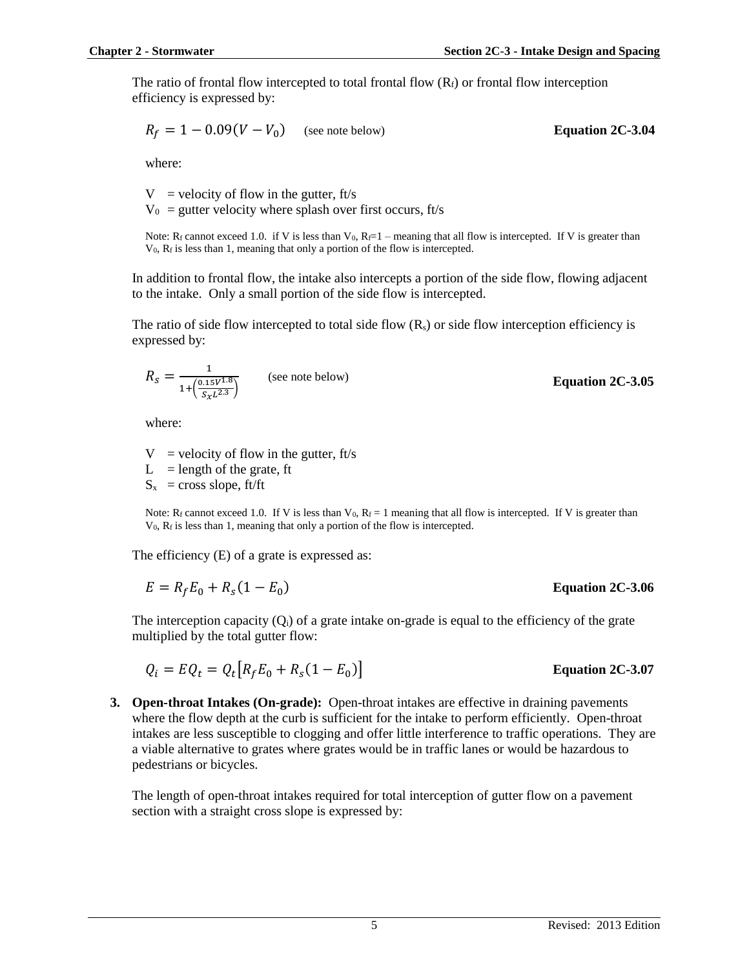The ratio of frontal flow intercepted to total frontal flow  $(R_f)$  or frontal flow interception efficiency is expressed by:

$$
R_f = 1 - 0.09(V - V_0)
$$
 (see note below) **Equation 2C-3.04**

where:

 $V =$  velocity of flow in the gutter, ft/s  $V_0$  = gutter velocity where splash over first occurs, ft/s

Note: R<sub>f</sub> cannot exceed 1.0. if V is less than V<sub>0</sub>, R<sub>i</sub>=1 – meaning that all flow is intercepted. If V is greater than  $V_0$ ,  $R_f$  is less than 1, meaning that only a portion of the flow is intercepted.

In addition to frontal flow, the intake also intercepts a portion of the side flow, flowing adjacent to the intake. Only a small portion of the side flow is intercepted.

The ratio of side flow intercepted to total side flow  $(R_s)$  or side flow interception efficiency is expressed by:

$$
R_{S} = \frac{1}{1 + \left(\frac{0.15V^{1.8}}{S_{\chi}L^{2.3}}\right)}
$$
 (see note below)

where:

 $V =$  velocity of flow in the gutter, ft/s

 $L =$  length of the grate, ft

 $S_x$  = cross slope, ft/ft

Note: R<sub>f</sub> cannot exceed 1.0. If V is less than V<sub>0</sub>, R<sub>f</sub> = 1 meaning that all flow is intercepted. If V is greater than  $V_0$ ,  $R_f$  is less than 1, meaning that only a portion of the flow is intercepted.

The efficiency (E) of a grate is expressed as:

$$
E = R_f E_0 + R_s (1 - E_0)
$$
 Equation 2C-3.06

The interception capacity  $(Q_i)$  of a grate intake on-grade is equal to the efficiency of the grate multiplied by the total gutter flow:

$$
Q_i = EQ_t = Q_t [R_f E_0 + R_s (1 - E_0)]
$$
 Equation 2C-3.07

**3. Open-throat Intakes (On-grade):** Open-throat intakes are effective in draining pavements where the flow depth at the curb is sufficient for the intake to perform efficiently. Open-throat intakes are less susceptible to clogging and offer little interference to traffic operations. They are a viable alternative to grates where grates would be in traffic lanes or would be hazardous to pedestrians or bicycles.

The length of open-throat intakes required for total interception of gutter flow on a pavement section with a straight cross slope is expressed by:

**Equation 2C-3.05**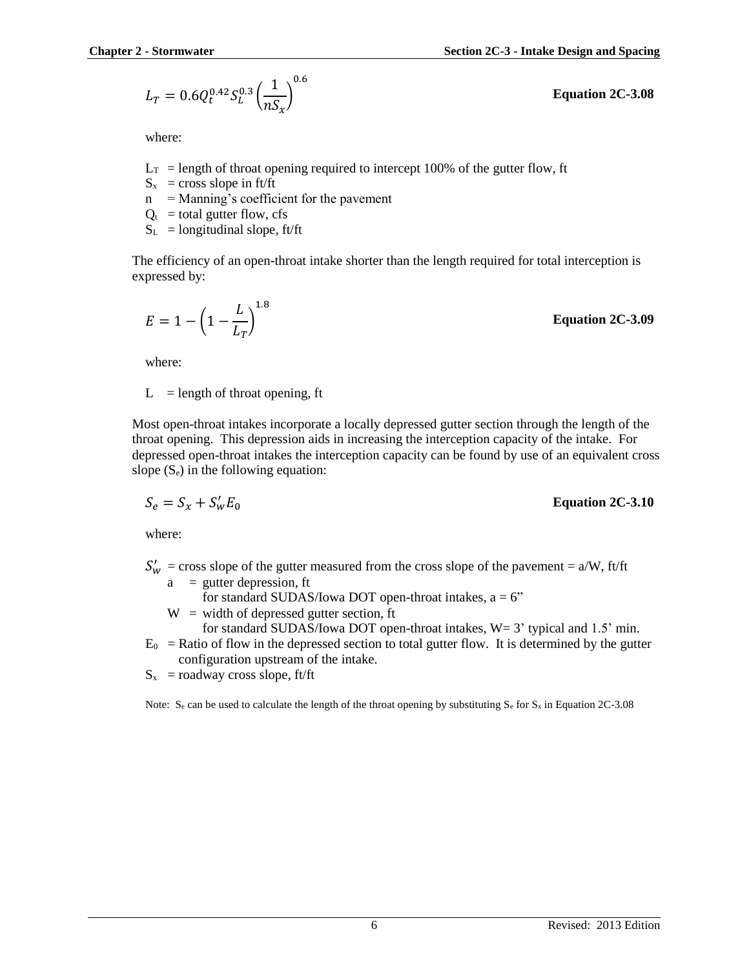$$
L_T = 0.6 Q_t^{0.42} S_L^{0.3} \left(\frac{1}{nS_x}\right)^{0.6}
$$

where:

- $L_T$  = length of throat opening required to intercept 100% of the gutter flow, ft
- $S_x$  = cross slope in ft/ft
- $n =$  Manning's coefficient for the pavement
- $Q_t$  = total gutter flow, cfs
- $S_L$  = longitudinal slope, ft/ft

The efficiency of an open-throat intake shorter than the length required for total interception is expressed by:

$$
E = 1 - \left(1 - \frac{L}{L_T}\right)^{1.8}
$$

where:

 $L =$  length of throat opening, ft

Most open-throat intakes incorporate a locally depressed gutter section through the length of the throat opening. This depression aids in increasing the interception capacity of the intake. For depressed open-throat intakes the interception capacity can be found by use of an equivalent cross slope  $(S_e)$  in the following equation:

$$
S_e = S_x + S_w' E_0
$$

where:

 $S'_w$  = cross slope of the gutter measured from the cross slope of the pavement = a/W, ft/ft  $a =$  gutter depression, ft

for standard SUDAS/Iowa DOT open-throat intakes,  $a = 6$ "

 $W =$  width of depressed gutter section, ft

for standard SUDAS/Iowa DOT open-throat intakes,  $W = 3'$  typical and 1.5' min.

 $E_0$  = Ratio of flow in the depressed section to total gutter flow. It is determined by the gutter configuration upstream of the intake.

 $S_x$  = roadway cross slope, ft/ft

Note: S<sub>e</sub> can be used to calculate the length of the throat opening by substituting S<sub>e</sub> for S<sub>x</sub> in Equation 2C-3.08

**Equation 2C-3.09**

′ <sup>0</sup> **Equation 2C-3.10**

**Equation 2C-3.08**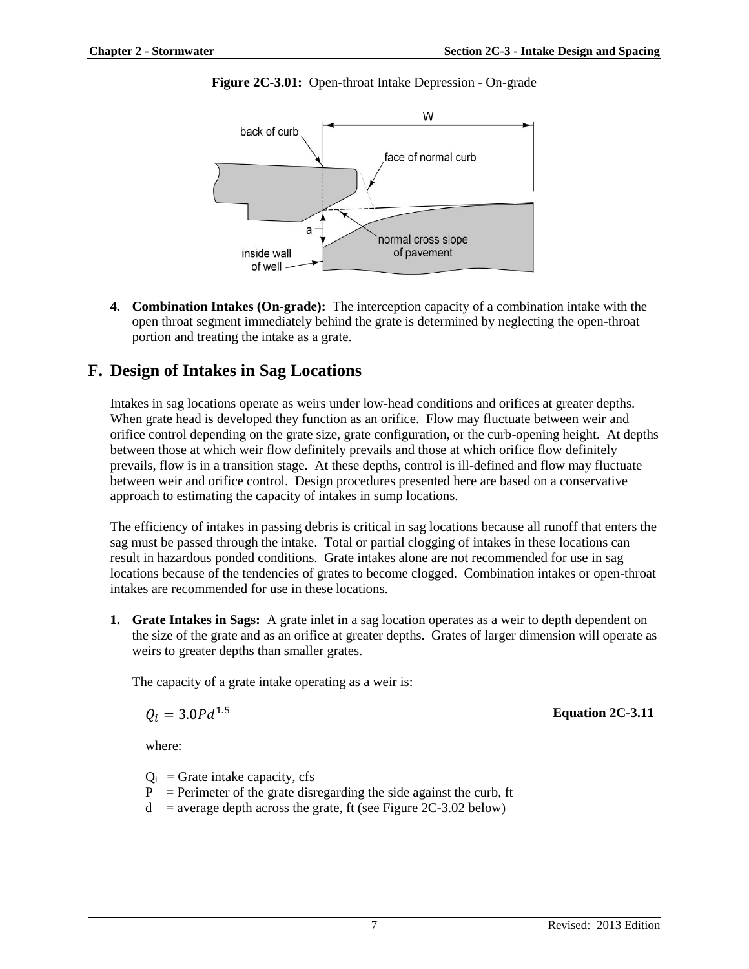

**Figure 2C-3.01:** Open-throat Intake Depression - On-grade

**4. Combination Intakes (On-grade):** The interception capacity of a combination intake with the open throat segment immediately behind the grate is determined by neglecting the open-throat portion and treating the intake as a grate.

## **F. Design of Intakes in Sag Locations**

Intakes in sag locations operate as weirs under low-head conditions and orifices at greater depths. When grate head is developed they function as an orifice. Flow may fluctuate between weir and orifice control depending on the grate size, grate configuration, or the curb-opening height. At depths between those at which weir flow definitely prevails and those at which orifice flow definitely prevails, flow is in a transition stage. At these depths, control is ill-defined and flow may fluctuate between weir and orifice control. Design procedures presented here are based on a conservative approach to estimating the capacity of intakes in sump locations.

The efficiency of intakes in passing debris is critical in sag locations because all runoff that enters the sag must be passed through the intake. Total or partial clogging of intakes in these locations can result in hazardous ponded conditions. Grate intakes alone are not recommended for use in sag locations because of the tendencies of grates to become clogged. Combination intakes or open-throat intakes are recommended for use in these locations.

**1. Grate Intakes in Sags:** A grate inlet in a sag location operates as a weir to depth dependent on the size of the grate and as an orifice at greater depths. Grates of larger dimension will operate as weirs to greater depths than smaller grates.

The capacity of a grate intake operating as a weir is:

$$
Q_i=3.0Pd^{1.5}
$$

**Equation 2C-3.11** 

where:

- $Q_i$  = Grate intake capacity, cfs
- $P =$  Perimeter of the grate disregarding the side against the curb, ft
- $d =$  average depth across the grate, ft (see Figure 2C-3.02 below)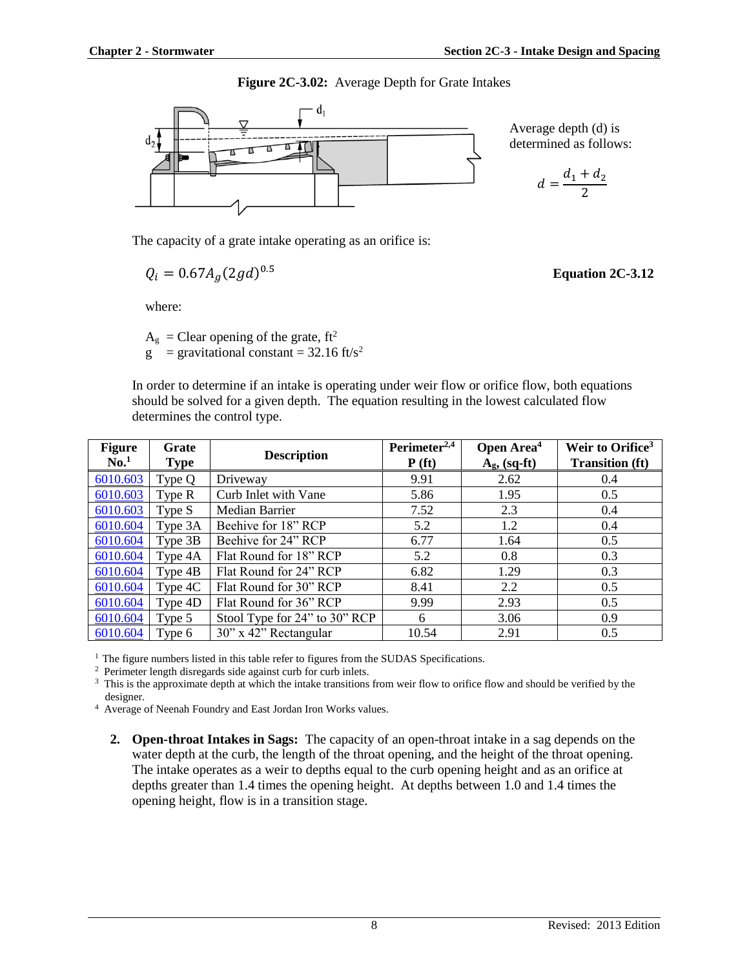**Figure 2C-3.02:** Average Depth for Grate Intakes



Average depth (d) is determined as follows:

$$
d=\frac{d_1+d_2}{2}
$$

The capacity of a grate intake operating as an orifice is:

$$
Q_i = 0.67 A_g (2gd)^{0.5}
$$

where:

 $A_g$  = Clear opening of the grate, ft<sup>2</sup>  $g =$  gravitational constant = 32.16 ft/s<sup>2</sup>

In order to determine if an intake is operating under weir flow or orifice flow, both equations should be solved for a given depth. The equation resulting in the lowest calculated flow determines the control type.

| <b>Figure</b><br>$\mathbf{No}^1$ | Grate<br><b>Type</b> | <b>Description</b>            | Perimeter <sup>2,4</sup><br>P(f <sub>t</sub> ) | Open Area <sup>4</sup><br>$A_g$ , (sq-ft) | Weir to Orifice <sup>3</sup><br><b>Transition</b> (ft) |
|----------------------------------|----------------------|-------------------------------|------------------------------------------------|-------------------------------------------|--------------------------------------------------------|
| 6010.603                         | Type Q               | Driveway                      | 9.91                                           | 2.62                                      | 0.4                                                    |
| 6010.603                         | Type R               | Curb Inlet with Vane          | 5.86                                           | 1.95                                      | 0.5                                                    |
| 6010.603                         | Type S               | Median Barrier                | 7.52                                           | 2.3                                       | 0.4                                                    |
| 6010.604                         | Type 3A              | Beehive for 18" RCP           | 5.2                                            | 1.2                                       | 0.4                                                    |
| 6010.604                         | Type 3B              | Beehive for 24" RCP           | 6.77                                           | 1.64                                      | 0.5                                                    |
| 6010.604                         | Type 4A              | Flat Round for 18" RCP        | 5.2                                            | 0.8                                       | 0.3                                                    |
| 6010.604                         | Type 4B              | Flat Round for 24" RCP        | 6.82                                           | 1.29                                      | 0.3                                                    |
| 6010.604                         | Type 4C              | Flat Round for 30" RCP        | 8.41                                           | 2.2                                       | 0.5                                                    |
| 6010.604                         | Type 4D              | Flat Round for 36" RCP        | 9.99                                           | 2.93                                      | 0.5                                                    |
| 6010.604                         | Type 5               | Stool Type for 24" to 30" RCP | 6                                              | 3.06                                      | 0.9                                                    |
| 6010.604                         | Type 6               | 30" x 42" Rectangular         | 10.54                                          | 2.91                                      | 0.5                                                    |

<sup>1</sup> The figure numbers listed in this table refer to figures from the SUDAS Specifications.

2 Perimeter length disregards side against curb for curb inlets.

<sup>3</sup> This is the approximate depth at which the intake transitions from weir flow to orifice flow and should be verified by the designer.

<sup>4</sup> Average of Neenah Foundry and East Jordan Iron Works values.

**2. Open-throat Intakes in Sags:** The capacity of an open-throat intake in a sag depends on the water depth at the curb, the length of the throat opening, and the height of the throat opening. The intake operates as a weir to depths equal to the curb opening height and as an orifice at depths greater than 1.4 times the opening height. At depths between 1.0 and 1.4 times the opening height, flow is in a transition stage.

#### 0.5 **Equation 2C-3.12**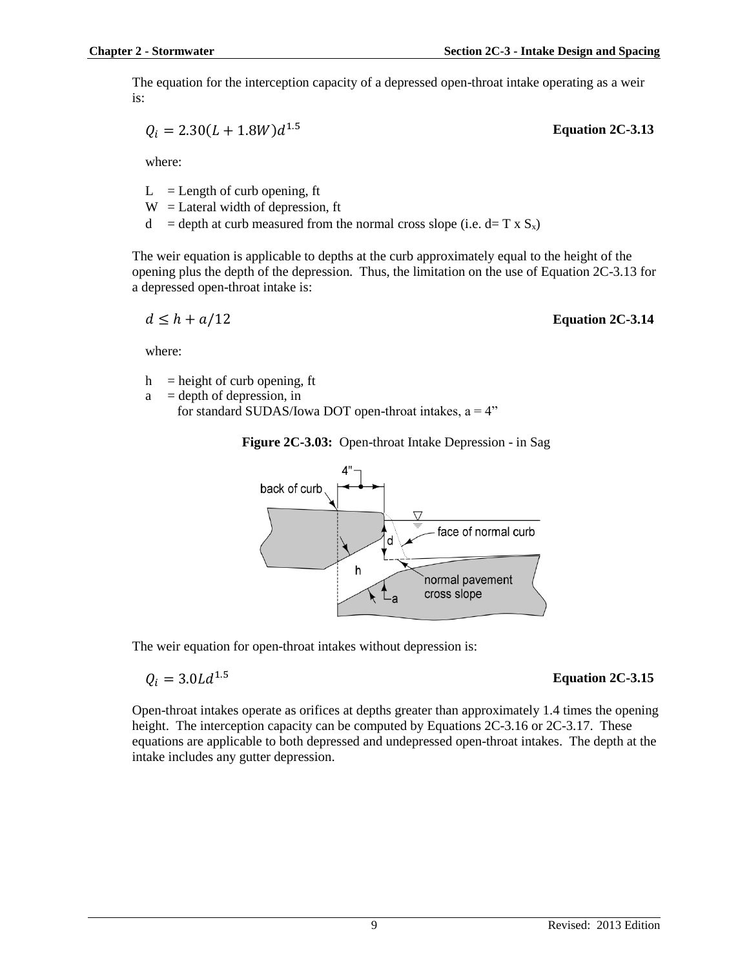The equation for the interception capacity of a depressed open-throat intake operating as a weir is:

$$
Q_i = 2.30(L + 1.8W)d^{1.5}
$$

where:

 $L =$ Length of curb opening, ft

- $W =$ Lateral width of depression, ft
- $d =$  depth at curb measured from the normal cross slope (i.e. d= T x S<sub>x</sub>)

The weir equation is applicable to depths at the curb approximately equal to the height of the opening plus the depth of the depression. Thus, the limitation on the use of Equation 2C-3.13 for a depressed open-throat intake is:

$$
d \leq h + a/12
$$

#### **Equation 2C-3.14**

1.5 **Equation 2C-3.13**

where:

 $h$  = height of curb opening, ft

 $a =$  depth of depression, in

for standard SUDAS/Iowa DOT open-throat intakes,  $a = 4$ "

#### **Figure 2C-3.03:** Open-throat Intake Depression - in Sag



The weir equation for open-throat intakes without depression is:

$$
Q_i = 3.0 L d^{1.5}
$$

#### 1.5 **Equation 2C-3.15**

Open-throat intakes operate as orifices at depths greater than approximately 1.4 times the opening height. The interception capacity can be computed by Equations 2C-3.16 or 2C-3.17. These equations are applicable to both depressed and undepressed open-throat intakes. The depth at the intake includes any gutter depression.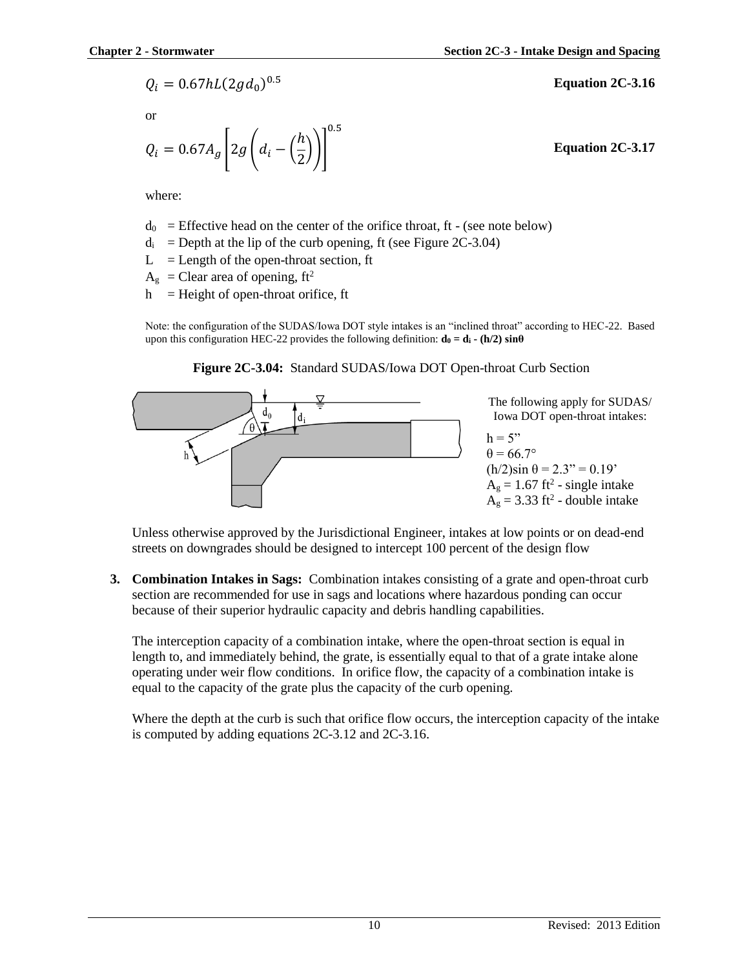$$
Q_i = 0.67 hL (2gd_0)^{0.5}
$$

or

$$
Q_i = 0.67 A_g \left[ 2g \left( d_i - \left( \frac{h}{2} \right) \right) \right]^{0.5}
$$

**Equation 2C-3.17**

0.5 **Equation 2C-3.16**

where:

 $d_0$  = Effective head on the center of the orifice throat, ft - (see note below)

- $d_i$  = Depth at the lip of the curb opening, ft (see Figure 2C-3.04)
- $L =$  Length of the open-throat section, ft
- $A_g$  = Clear area of opening, ft<sup>2</sup>

 $h$  = Height of open-throat orifice, ft

Note: the configuration of the SUDAS/Iowa DOT style intakes is an "inclined throat" according to HEC-22. Based upon this configuration HEC-22 provides the following definition:  $\mathbf{d}_0 = \mathbf{d}_i \cdot (\mathbf{h}/2) \sin{\theta}$ 





Unless otherwise approved by the Jurisdictional Engineer, intakes at low points or on dead-end streets on downgrades should be designed to intercept 100 percent of the design flow

**3. Combination Intakes in Sags:** Combination intakes consisting of a grate and open-throat curb section are recommended for use in sags and locations where hazardous ponding can occur because of their superior hydraulic capacity and debris handling capabilities.

The interception capacity of a combination intake, where the open-throat section is equal in length to, and immediately behind, the grate, is essentially equal to that of a grate intake alone operating under weir flow conditions. In orifice flow, the capacity of a combination intake is equal to the capacity of the grate plus the capacity of the curb opening.

Where the depth at the curb is such that orifice flow occurs, the interception capacity of the intake is computed by adding equations 2C-3.12 and 2C-3.16.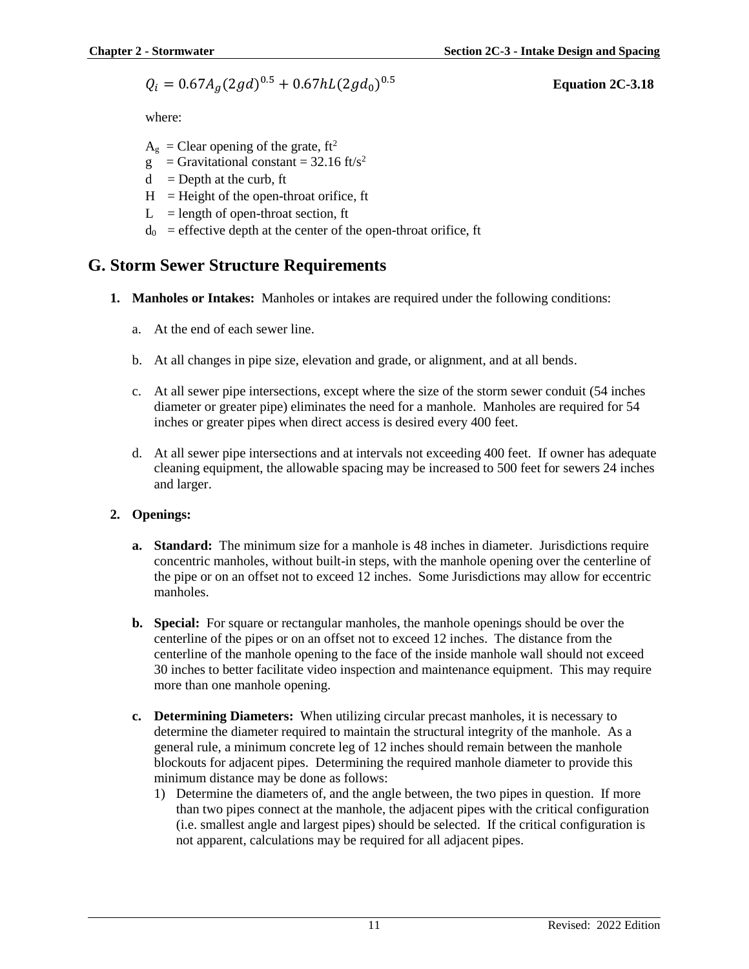$$
Q_i = 0.67 A_g (2gd)^{0.5} + 0.67 hL (2gd_0)^{0.5}
$$

0.5 **Equation 2C-3.18**

where:

- $A_g$  = Clear opening of the grate, ft<sup>2</sup>
- g = Gravitational constant =  $32.16$  ft/s<sup>2</sup>
- $d =$ Depth at the curb, ft
- $H =$  Height of the open-throat orifice, ft
- $L =$  length of open-throat section, ft
- $d_0$  = effective depth at the center of the open-throat orifice, ft

## **G. Storm Sewer Structure Requirements**

- **1. Manholes or Intakes:** Manholes or intakes are required under the following conditions:
	- a. At the end of each sewer line.
	- b. At all changes in pipe size, elevation and grade, or alignment, and at all bends.
	- c. At all sewer pipe intersections, except where the size of the storm sewer conduit (54 inches diameter or greater pipe) eliminates the need for a manhole. Manholes are required for 54 inches or greater pipes when direct access is desired every 400 feet.
	- d. At all sewer pipe intersections and at intervals not exceeding 400 feet. If owner has adequate cleaning equipment, the allowable spacing may be increased to 500 feet for sewers 24 inches and larger.

### **2. Openings:**

- **a. Standard:** The minimum size for a manhole is 48 inches in diameter. Jurisdictions require concentric manholes, without built-in steps, with the manhole opening over the centerline of the pipe or on an offset not to exceed 12 inches. Some Jurisdictions may allow for eccentric manholes.
- **b. Special:** For square or rectangular manholes, the manhole openings should be over the centerline of the pipes or on an offset not to exceed 12 inches. The distance from the centerline of the manhole opening to the face of the inside manhole wall should not exceed 30 inches to better facilitate video inspection and maintenance equipment. This may require more than one manhole opening.
- **c. Determining Diameters:** When utilizing circular precast manholes, it is necessary to determine the diameter required to maintain the structural integrity of the manhole. As a general rule, a minimum concrete leg of 12 inches should remain between the manhole blockouts for adjacent pipes. Determining the required manhole diameter to provide this minimum distance may be done as follows:
	- 1) Determine the diameters of, and the angle between, the two pipes in question. If more than two pipes connect at the manhole, the adjacent pipes with the critical configuration (i.e. smallest angle and largest pipes) should be selected. If the critical configuration is not apparent, calculations may be required for all adjacent pipes.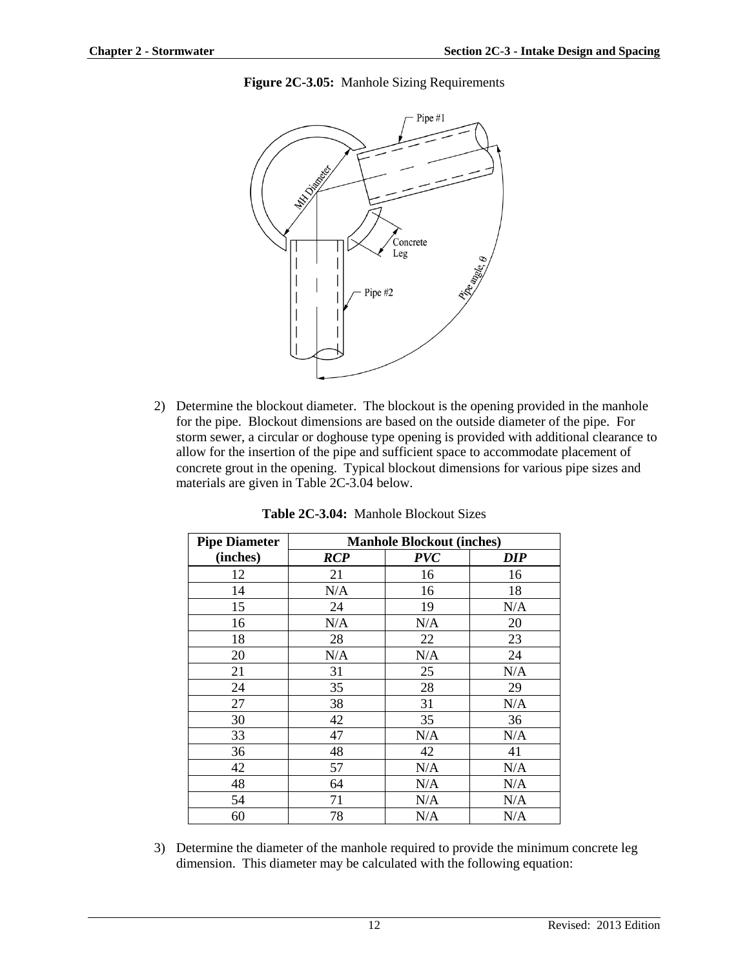



2) Determine the blockout diameter. The blockout is the opening provided in the manhole for the pipe. Blockout dimensions are based on the outside diameter of the pipe. For storm sewer, a circular or doghouse type opening is provided with additional clearance to allow for the insertion of the pipe and sufficient space to accommodate placement of concrete grout in the opening. Typical blockout dimensions for various pipe sizes and materials are given in Table 2C-3.04 below.

| <b>Pipe Diameter</b> | <b>Manhole Blockout (inches)</b> |            |            |
|----------------------|----------------------------------|------------|------------|
| (inches)             | <b>RCP</b>                       | <b>PVC</b> | <b>DIP</b> |
| 12                   | 21                               | 16         | 16         |
| 14                   | N/A                              | 16         | 18         |
| 15                   | 24                               | 19         | N/A        |
| 16                   | N/A                              | N/A        | 20         |
| 18                   | 28                               | 22         | 23         |
| 20                   | N/A                              | N/A        | 24         |
| 21                   | 31                               | 25         | N/A        |
| 24                   | 35                               | 28         | 29         |
| 27                   | 38                               | 31         | N/A        |
| 30                   | 42                               | 35         | 36         |
| 33                   | 47                               | N/A        | N/A        |
| 36                   | 48                               | 42         | 41         |
| 42                   | 57                               | N/A        | N/A        |
| 48                   | 64                               | N/A        | N/A        |
| 54                   | 71                               | N/A        | N/A        |
| 60                   | 78                               | N/A        | N/A        |

**Table 2C-3.04:** Manhole Blockout Sizes

3) Determine the diameter of the manhole required to provide the minimum concrete leg dimension. This diameter may be calculated with the following equation: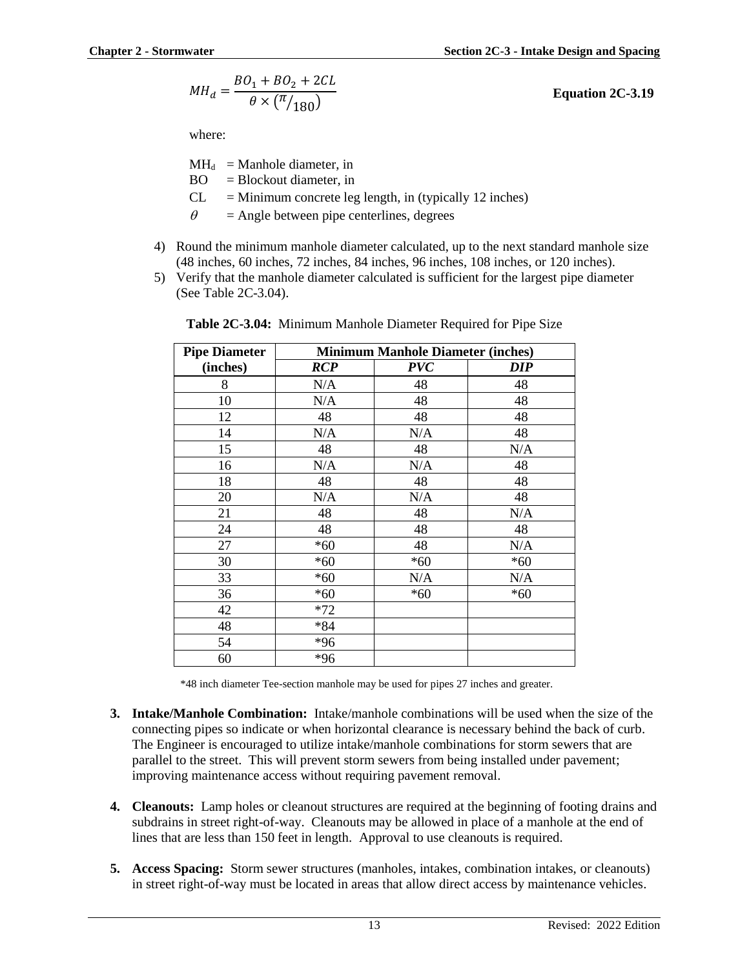$$
MH_d = \frac{BO_1 + BO_2 + 2CL}{\theta \times (\pi/_{180})}
$$

**Equation 2C-3.19**

where:

 $MH_d$  = Manhole diameter, in

- $BO = Blockout diameter, in$
- $CL = Minimum concrete leg length, in (typically 12 inches)$
- $\theta$  = Angle between pipe centerlines, degrees
- 4) Round the minimum manhole diameter calculated, up to the next standard manhole size (48 inches, 60 inches, 72 inches, 84 inches, 96 inches, 108 inches, or 120 inches).
- 5) Verify that the manhole diameter calculated is sufficient for the largest pipe diameter (See Table 2C-3.04).

| <b>Pipe Diameter</b> |            | <b>Minimum Manhole Diameter (inches)</b> |       |  |
|----------------------|------------|------------------------------------------|-------|--|
| (inches)             | <b>RCP</b> | <b>PVC</b>                               | DIP   |  |
| 8                    | N/A        | 48                                       | 48    |  |
| 10                   | N/A        | 48                                       | 48    |  |
| 12                   | 48         | 48                                       | 48    |  |
| 14                   | N/A        | N/A                                      | 48    |  |
| 15                   | 48         | 48                                       | N/A   |  |
| 16                   | N/A        | N/A                                      | 48    |  |
| 18                   | 48         | 48                                       | 48    |  |
| 20                   | N/A        | N/A                                      | 48    |  |
| 21                   | 48         | 48                                       | N/A   |  |
| 24                   | 48         | 48                                       | 48    |  |
| 27                   | $*60$      | 48                                       | N/A   |  |
| 30                   | $*60$      | $*60$                                    | $*60$ |  |
| 33                   | *60        | N/A                                      | N/A   |  |
| 36                   | $*60$      | $*60$                                    | $*60$ |  |
| 42                   | $*72$      |                                          |       |  |
| 48                   | *84        |                                          |       |  |
| 54                   | $*96$      |                                          |       |  |
| 60                   | *96        |                                          |       |  |

**Table 2C-3.04:** Minimum Manhole Diameter Required for Pipe Size

\*48 inch diameter Tee-section manhole may be used for pipes 27 inches and greater.

- **3. Intake/Manhole Combination:** Intake/manhole combinations will be used when the size of the connecting pipes so indicate or when horizontal clearance is necessary behind the back of curb. The Engineer is encouraged to utilize intake/manhole combinations for storm sewers that are parallel to the street. This will prevent storm sewers from being installed under pavement; improving maintenance access without requiring pavement removal.
- **4. Cleanouts:** Lamp holes or cleanout structures are required at the beginning of footing drains and subdrains in street right-of-way. Cleanouts may be allowed in place of a manhole at the end of lines that are less than 150 feet in length. Approval to use cleanouts is required.
- **5. Access Spacing:** Storm sewer structures (manholes, intakes, combination intakes, or cleanouts) in street right-of-way must be located in areas that allow direct access by maintenance vehicles.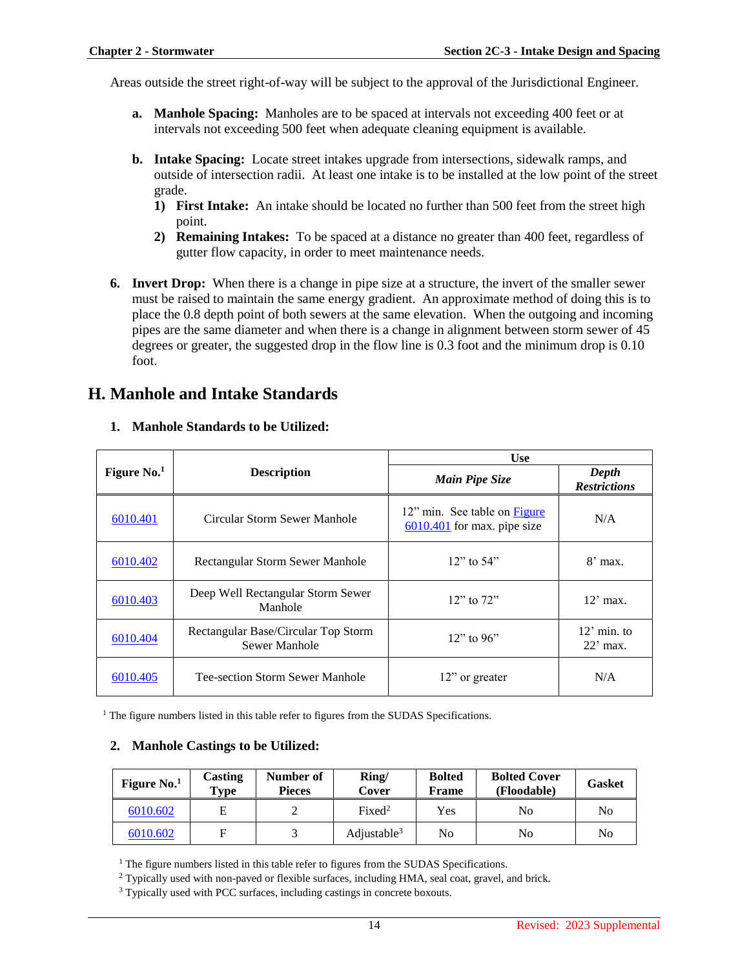Areas outside the street right-of-way will be subject to the approval of the Jurisdictional Engineer.

- **a. Manhole Spacing:** Manholes are to be spaced at intervals not exceeding 400 feet or at intervals not exceeding 500 feet when adequate cleaning equipment is available.
- **b. Intake Spacing:** Locate street intakes upgrade from intersections, sidewalk ramps, and outside of intersection radii. At least one intake is to be installed at the low point of the street grade.
	- **1) First Intake:** An intake should be located no further than 500 feet from the street high point.
	- **2) Remaining Intakes:** To be spaced at a distance no greater than 400 feet, regardless of gutter flow capacity, in order to meet maintenance needs.
- **6. Invert Drop:** When there is a change in pipe size at a structure, the invert of the smaller sewer must be raised to maintain the same energy gradient. An approximate method of doing this is to place the 0.8 depth point of both sewers at the same elevation. When the outgoing and incoming pipes are the same diameter and when there is a change in alignment between storm sewer of 45 degrees or greater, the suggested drop in the flow line is 0.3 foot and the minimum drop is 0.10 foot.

## **H. Manhole and Intake Standards**

|               |                                                      | <b>Use</b>                                                           |                              |  |
|---------------|------------------------------------------------------|----------------------------------------------------------------------|------------------------------|--|
| Figure $No.1$ | <b>Description</b>                                   | Main Pipe Size                                                       | Depth<br><b>Restrictions</b> |  |
| 6010.401      | Circular Storm Sewer Manhole                         | 12" min. See table on <b>Figure</b><br>$6010.401$ for max. pipe size | N/A                          |  |
| 6010.402      | Rectangular Storm Sewer Manhole                      | $12$ " to 54"                                                        | $8'$ max.                    |  |
| 6010.403      | Deep Well Rectangular Storm Sewer<br>Manhole         | $12$ " to $72$ "                                                     | $12'$ max.                   |  |
| 6010.404      | Rectangular Base/Circular Top Storm<br>Sewer Manhole | $12$ " to 96"                                                        | $12'$ min. to<br>$22'$ max.  |  |
| 6010.405      | Tee-section Storm Sewer Manhole                      | 12" or greater                                                       | N/A                          |  |

#### **1. Manhole Standards to be Utilized:**

<sup>1</sup> The figure numbers listed in this table refer to figures from the SUDAS Specifications.

#### **2. Manhole Castings to be Utilized:**

| Figure $No.1$ | Casting<br>$_{\rm \bf Type}$ | Number of<br><b>Pieces</b> | Ring/<br>Cover          | <b>Bolted</b><br><b>Frame</b> | <b>Bolted Cover</b><br>(Floodable) | Gasket |
|---------------|------------------------------|----------------------------|-------------------------|-------------------------------|------------------------------------|--------|
| 6010.602      | E                            |                            | Fixed <sup>2</sup>      | Yes                           | No                                 | No     |
| 6010.602      | F                            |                            | Adjustable <sup>3</sup> | No                            | No                                 | No     |

<sup>1</sup> The figure numbers listed in this table refer to figures from the SUDAS Specifications.

<sup>2</sup> Typically used with non-paved or flexible surfaces, including HMA, seal coat, gravel, and brick.

<sup>3</sup> Typically used with PCC surfaces, including castings in concrete boxouts.